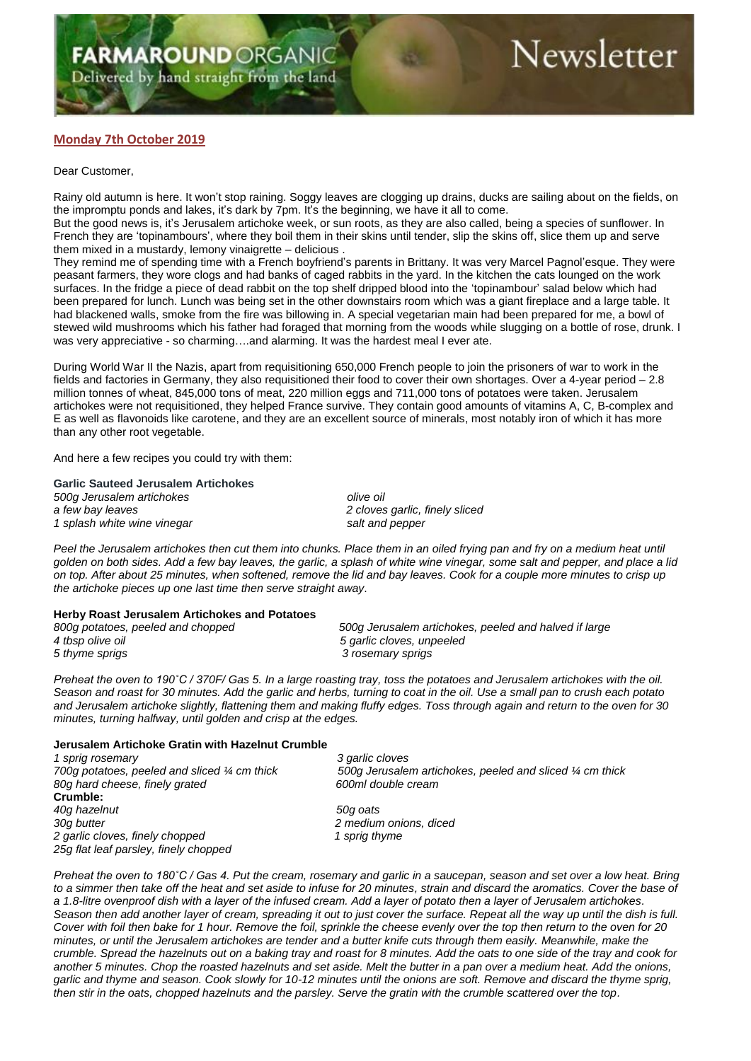# **Monday 7th October 2019**

## Dear Customer,

Rainy old autumn is here. It won't stop raining. Soggy leaves are clogging up drains, ducks are sailing about on the fields, on the impromptu ponds and lakes, it's dark by 7pm. It's the beginning, we have it all to come. But the good news is, it's Jerusalem artichoke week, or sun roots, as they are also called, being a species of sunflower. In French they are 'topinambours', where they boil them in their skins until tender, slip the skins off, slice them up and serve them mixed in a mustardy, lemony vinaigrette – delicious .

They remind me of spending time with a French boyfriend's parents in Brittany. It was very Marcel Pagnol'esque. They were peasant farmers, they wore clogs and had banks of caged rabbits in the yard. In the kitchen the cats lounged on the work surfaces. In the fridge a piece of dead rabbit on the top shelf dripped blood into the 'topinambour' salad below which had been prepared for lunch. Lunch was being set in the other downstairs room which was a giant fireplace and a large table. It had blackened walls, smoke from the fire was billowing in. A special vegetarian main had been prepared for me, a bowl of stewed wild mushrooms which his father had foraged that morning from the woods while slugging on a bottle of rose, drunk. I was very appreciative - so charming….and alarming. It was the hardest meal I ever ate.

During World War II the Nazis, apart from requisitioning 650,000 French people to join the prisoners of war to work in the fields and factories in Germany, they also requisitioned their food to cover their own shortages. Over a 4-year period – 2.8 million tonnes of wheat, 845,000 tons of meat, 220 million eggs and 711,000 tons of potatoes were taken. Jerusalem artichokes were not requisitioned, they helped France survive. They contain good amounts of vitamins A, C, B-complex and E as well as flavonoids like carotene, and they are an excellent source of minerals, most notably iron of which it has more than any other root vegetable.

And here a few recipes you could try with them:

#### **Garlic Sauteed Jerusalem Artichokes**

*500g Jerusalem artichokes olive oil a few bay leaves 2 cloves garlic, finely sliced 1 splash white wine vinegar salt and pepper*

*Peel the Jerusalem artichokes then cut them into chunks. Place them in an oiled frying pan and fry on a medium heat until golden on both sides. Add a few bay leaves, the garlic, a splash of white wine vinegar, some salt and pepper, and place a lid on top. After about 25 minutes, when softened, remove the lid and bay leaves. Cook for a couple more minutes to crisp up the artichoke pieces up one last time then serve straight away*.

#### **Herby Roast Jerusalem Artichokes and Potatoes**

| 800g potatoes, peeled and chopped | 500g Jerusalem artichokes, peeled and halved if large |
|-----------------------------------|-------------------------------------------------------|
| 4 tbsp olive oil                  | 5 garlic cloves, unpeeled                             |
| 5 thyme sprigs                    | 3 rosemary sprigs                                     |

*Preheat the oven to 190˚C / 370F/ Gas 5. In a large roasting tray, toss the potatoes and Jerusalem artichokes with the oil. Season and roast for 30 minutes. Add the garlic and herbs, turning to coat in the oil. Use a small pan to crush each potato and Jerusalem artichoke slightly, flattening them and making fluffy edges. Toss through again and return to the oven for 30 minutes, turning halfway, until golden and crisp at the edges.*

## **Jerusalem Artichoke Gratin with Hazelnut Crumble**

*1 sprig rosemary 3 garlic cloves 80g hard cheese, finely grated 600ml double cream* **Crumble:** *40g hazelnut 50g oats 30g butter 2 medium onions, diced* 2 garlic cloves, finely chopped 1 sprig thyme *25g flat leaf parsley, finely chopped*

*700g potatoes, peeled and sliced ¼ cm thick 500g Jerusalem artichokes, peeled and sliced ¼ cm thick*

*Preheat the oven to 180˚C / Gas 4. Put the cream, rosemary and garlic in a saucepan, season and set over a low heat. Bring to a simmer then take off the heat and set aside to infuse for 20 minutes, strain and discard the aromatics. Cover the base of a 1.8-litre ovenproof dish with a layer of the infused cream. Add a layer of potato then a layer of Jerusalem artichokes. Season then add another layer of cream, spreading it out to just cover the surface. Repeat all the way up until the dish is full. Cover with foil then bake for 1 hour. Remove the foil, sprinkle the cheese evenly over the top then return to the oven for 20 minutes, or until the Jerusalem artichokes are tender and a butter knife cuts through them easily. Meanwhile, make the crumble. Spread the hazelnuts out on a baking tray and roast for 8 minutes. Add the oats to one side of the tray and cook for another 5 minutes. Chop the roasted hazelnuts and set aside. Melt the butter in a pan over a medium heat. Add the onions, garlic and thyme and season. Cook slowly for 10-12 minutes until the onions are soft. Remove and discard the thyme sprig, then stir in the oats, chopped hazelnuts and the parsley. Serve the gratin with the crumble scattered over the top.*